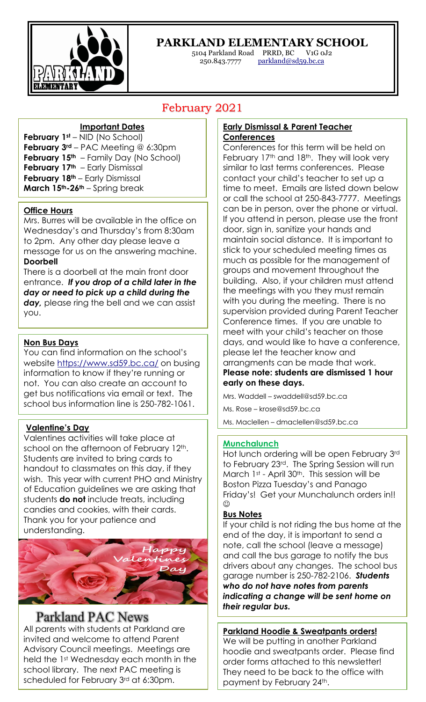

Ī

### **PARKLAND ELEMENTARY SCHOOL**

5104 Parkland Road PRRD, BC V1G 0J2 250.843.7777 parkland@sd59.bc.ca

## February 2021

#### **Important Dates**

**February 1st** – NID (No School) **February 3rd** – PAC Meeting @ 6:30pm **February 15<sup>th</sup>** – Family Day (No School) **February 17th** – Early Dismissal **February 18<sup>th</sup>** – Early Dismissal **March 15th-26th** – Spring break

#### **Office Hours**

Mrs. Burres will be available in the office on Wednesday's and Thursday's from 8:30am to 2pm. Any other day please leave a message for us on the answering machine. **Doorbell**

There is a doorbell at the main front door entrance. *If you drop of a child later in the day or need to pick up a child during the*  day, please ring the bell and we can assist you.

#### **Non Bus Days**

You can find information on the school's website https://www.sd59.bc.ca/ on busing information to know if they're running or not. You can also create an account to get bus notifications via email or text. The school bus information line is 250-782-1061.

#### **Valentine's Day**

Valentines activities will take place at school on the afternoon of February 12<sup>th</sup>. Students are invited to bring cards to handout to classmates on this day, if they wish. This year with current PHO and Ministry of Education guidelines we are asking that students **do not** include treats, including candies and cookies, with their cards. Thank you for your patience and understanding.



## Parkland PAC News

All parents with students at Parkland are invited and welcome to attend Parent Advisory Council meetings. Meetings are held the 1st Wednesday each month in the school library. The next PAC meeting is scheduled for February 3rd at 6:30pm.

#### **Early Dismissal & Parent Teacher Conferences**

Conferences for this term will be held on February 17<sup>th</sup> and 18<sup>th</sup>. They will look very similar to last terms conferences. Please contact your child's teacher to set up a time to meet. Emails are listed down below or call the school at 250-843-7777. Meetings can be in person, over the phone or virtual. If you attend in person, please use the front door, sign in, sanitize your hands and maintain social distance. It is important to stick to your scheduled meeting times as much as possible for the management of groups and movement throughout the building. Also, if your children must attend the meetings with you they must remain with you during the meeting. There is no supervision provided during Parent Teacher Conference times. If you are unable to meet with your child's teacher on those days, and would like to have a conference, please let the teacher know and arrangments can be made that work. **Please note: students are dismissed 1 hour early on these days.** 

Mrs. Waddell – swaddell@sd59.bc.ca

Ms. Rose – krose@sd59.bc.ca

Ms. Maclellen – dmaclellen@sd59.bc.ca

#### **Munchalunch**

Hot lunch ordering will be open February 3rd to February 23rd. The Spring Session will run March 1st - April 30<sup>th</sup>. This session will be Boston Pizza Tuesday's and Panago Friday's! Get your Munchalunch orders in!!  $\odot$ 

#### **Bus Notes**

If your child is not riding the bus home at the end of the day, it is important to send a note, call the school (leave a message) and call the bus garage to notify the bus drivers about any changes. The school bus garage number is 250-782-2106. *Students who do not have notes from parents indicating a change will be sent home on their regular bus.*

**Parkland Hoodie & Sweatpants orders!** We will be putting in another Parkland hoodie and sweatpants order. Please find order forms attached to this newsletter! They need to be back to the office with payment by February 24th.